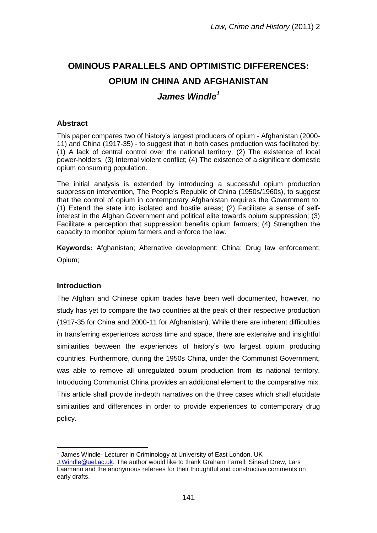# **OMINOUS PARALLELS AND OPTIMISTIC DIFFERENCES: OPIUM IN CHINA AND AFGHANISTAN**

# *James Windle<sup>1</sup>*

## **Abstract**

This paper compares two of history"s largest producers of opium - Afghanistan (2000- 11) and China (1917-35) - to suggest that in both cases production was facilitated by: (1) A lack of central control over the national territory; (2) The existence of local power-holders; (3) Internal violent conflict; (4) The existence of a significant domestic opium consuming population.

The initial analysis is extended by introducing a successful opium production suppression intervention. The People's Republic of China (1950s/1960s), to suggest that the control of opium in contemporary Afghanistan requires the Government to: (1) Extend the state into isolated and hostile areas; (2) Facilitate a sense of selfinterest in the Afghan Government and political elite towards opium suppression; (3) Facilitate a perception that suppression benefits opium farmers; (4) Strengthen the capacity to monitor opium farmers and enforce the law.

**Keywords:** Afghanistan; Alternative development; China; Drug law enforcement; Opium;

# **Introduction**

The Afghan and Chinese opium trades have been well documented, however, no study has yet to compare the two countries at the peak of their respective production (1917-35 for China and 2000-11 for Afghanistan). While there are inherent difficulties in transferring experiences across time and space, there are extensive and insightful similarities between the experiences of history"s two largest opium producing countries. Furthermore, during the 1950s China, under the Communist Government, was able to remove all unregulated opium production from its national territory. Introducing Communist China provides an additional element to the comparative mix. This article shall provide in-depth narratives on the three cases which shall elucidate similarities and differences in order to provide experiences to contemporary drug policy.

 $\overline{a}$  $<sup>1</sup>$  James Windle- Lecturer in Criminology at University of East London, UK</sup>

[J.Windle@uel.ac.uk.](mailto:J.Windle@uel.ac.uk) The author would like to thank Graham Farrell, Sinead Drew, Lars Laamann and the anonymous referees for their thoughtful and constructive comments on early drafts.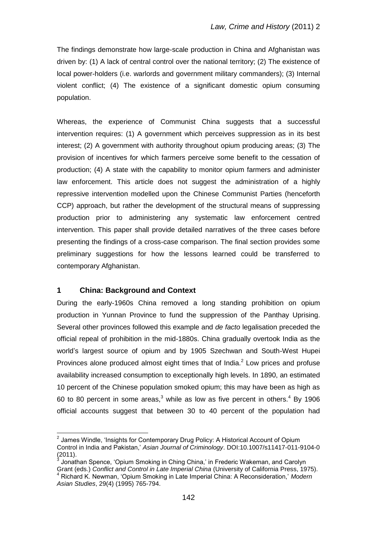The findings demonstrate how large-scale production in China and Afghanistan was driven by: (1) A lack of central control over the national territory; (2) The existence of local power-holders (i.e. warlords and government military commanders); (3) Internal violent conflict; (4) The existence of a significant domestic opium consuming population.

Whereas, the experience of Communist China suggests that a successful intervention requires: (1) A government which perceives suppression as in its best interest; (2) A government with authority throughout opium producing areas; (3) The provision of incentives for which farmers perceive some benefit to the cessation of production; (4) A state with the capability to monitor opium farmers and administer law enforcement. This article does not suggest the administration of a highly repressive intervention modelled upon the Chinese Communist Parties (henceforth CCP) approach, but rather the development of the structural means of suppressing production prior to administering any systematic law enforcement centred intervention. This paper shall provide detailed narratives of the three cases before presenting the findings of a cross-case comparison. The final section provides some preliminary suggestions for how the lessons learned could be transferred to contemporary Afghanistan.

### **1 China: Background and Context**

 $\overline{a}$ 

During the early-1960s China removed a long standing prohibition on opium production in Yunnan Province to fund the suppression of the Panthay Uprising. Several other provinces followed this example and *de facto* legalisation preceded the official repeal of prohibition in the mid-1880s. China gradually overtook India as the world"s largest source of opium and by 1905 Szechwan and South-West Hupei Provinces alone produced almost eight times that of India. $<sup>2</sup>$  Low prices and profuse</sup> availability increased consumption to exceptionally high levels. In 1890, an estimated 10 percent of the Chinese population smoked opium; this may have been as high as 60 to 80 percent in some areas, $3$  while as low as five percent in others.<sup>4</sup> By 1906 official accounts suggest that between 30 to 40 percent of the population had

 $2$  James Windle, 'Insights for Contemporary Drug Policy: A Historical Account of Opium Control in India and Pakistan," *Asian Journal of Criminology*. DOI:10.1007/s11417-011-9104-0  $(2011).$ <sup>3</sup> lopath

Jonathan Spence, "Opium Smoking in Ching China," in Frederic Wakeman, and Carolyn Grant (eds.) *Conflict and Control in Late Imperial China* (University of California Press, 1975). <sup>4</sup> Richard K. Newman, "Opium Smoking in Late Imperial China: A Reconsideration," *Modern Asian Studies*, 29(4) (1995) 765-794.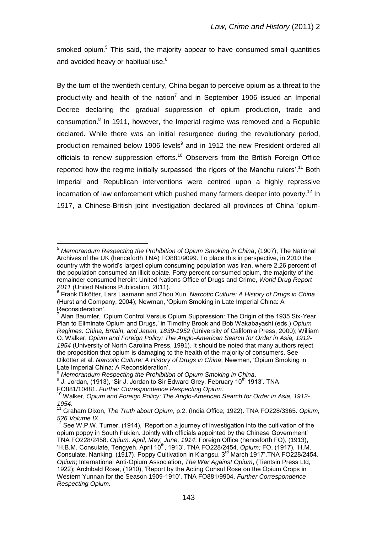smoked opium.<sup>5</sup> This said, the majority appear to have consumed small quantities and avoided heavy or habitual use.<sup>6</sup>

By the turn of the twentieth century, China began to perceive opium as a threat to the productivity and health of the nation<sup>7</sup> and in September 1906 issued an Imperial Decree declaring the gradual suppression of opium production, trade and consumption.<sup>8</sup> In 1911, however, the Imperial regime was removed and a Republic declared. While there was an initial resurgence during the revolutionary period, production remained below 1906 levels<sup>9</sup> and in 1912 the new President ordered all officials to renew suppression efforts.<sup>10</sup> Observers from the British Foreign Office reported how the regime initially surpassed 'the rigors of the Manchu rulers'.<sup>11</sup> Both Imperial and Republican interventions were centred upon a highly repressive incarnation of law enforcement which pushed many farmers deeper into poverty.<sup>12</sup> In 1917, a Chinese-British joint investigation declared all provinces of China "opium-

<sup>5</sup> *Memorandum Respecting the Prohibition of Opium Smoking in China*, (1907), The National Archives of the UK (henceforth TNA) FO881/9099. To place this in perspective, in 2010 the country with the world"s largest opium consuming population was Iran, where 2.26 percent of the population consumed an illicit opiate. Forty percent consumed opium, the majority of the remainder consumed heroin: United Nations Office of Drugs and Crime, *World Drug Report* 

*<sup>2011</sup>* (United Nations Publication, 2011). 6 Frank Dikötter, Lars Laamann and Zhou Xun, *Narcotic Culture: A History of Drugs in China* (Hurst and Company, 2004); Newman, "Opium Smoking in Late Imperial China: A Reconsideration".

<sup>&</sup>lt;sup>7</sup> Alan Baumler, 'Opium Control Versus Opium Suppression: The Origin of the 1935 Six-Year Plan to Eliminate Opium and Drugs," in Timothy Brook and Bob Wakabayashi (eds.) *Opium Regimes: China, Britain, and Japan, 1839-1952* (University of California Press, 2000); William O. Walker, *Opium and Foreign Policy: The Anglo-American Search for Order in Asia, 1912- 1954* (University of North Carolina Press, 1991). It should be noted that many authors reject the proposition that opium is damaging to the health of the majority of consumers. See Dikötter et al. *Narcotic Culture: A History of Drugs in China*; Newman, "Opium Smoking in Late Imperial China: A Reconsideration".

<sup>&</sup>lt;sup>8</sup> Memorandum Respecting the Prohibition of Opium Smoking in China.<br><sup>9</sup> J. Jordan, (1913), 'Sir J. Jordan to Sir Edward Grey. February 10<sup>th</sup> 1913'. TNA

FO881/10481. *Further Correspondence Respecting Opium*.

<sup>10</sup> Walker, *Opium and Foreign Policy: The Anglo-American Search for Order in Asia, 1912- 1954*.

<sup>11</sup> Graham Dixon, *The Truth about Opium*, p.2. (India Office, 1922). TNA FO228/3365. *Opium, 526 Volume IX*.

<sup>526</sup> Volume IX.<br><sup>12</sup> See W.P.W. Turner, (1914), 'Report on a journey of investigation into the cultivation of the opium poppy in South Fukien. Jointly with officials appointed by the Chinese Government" TNA FO228/2458. *Opium, April, May, June, 1914*; Foreign Office (henceforth FO), (1913), "H.B.M. Consulate, Tengyeh. April 10<sup>th</sup>, 1913'. TNA FO228/2454. Opium; FO, (1917), 'H.M. Consulate, Nanking. (1917). Poppy Cultivation in Kiangsu. 3<sup>rd</sup> March 1917'. TNA FO228/2454. *Opium*; International Anti-Opium Association, *The War Against Opium*, (Tientsin Press Ltd, 1922); Archibald Rose, (1910), "Report by the Acting Consul Rose on the Opium Crops in Western Yunnan for the Season 1909-1910". TNA FO881/9904. *Further Correspondence Respecting Opium.*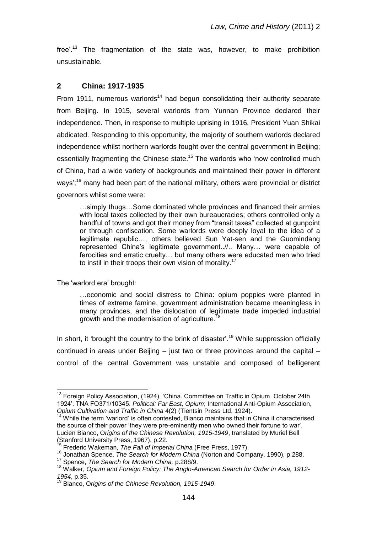free'.<sup>13</sup> The fragmentation of the state was, however, to make prohibition unsustainable.

## **2 China: 1917-1935**

From 1911, numerous warlords<sup>14</sup> had begun consolidating their authority separate from Beijing. In 1915, several warlords from Yunnan Province declared their independence. Then, in response to multiple uprising in 1916, President Yuan Shikai abdicated. Responding to this opportunity, the majority of southern warlords declared independence whilst northern warlords fought over the central government in Beijing; essentially fragmenting the Chinese state.<sup>15</sup> The warlords who 'now controlled much of China, had a wide variety of backgrounds and maintained their power in different ways';<sup>16</sup> many had been part of the national military, others were provincial or district governors whilst some were:

…simply thugs…Some dominated whole provinces and financed their armies with local taxes collected by their own bureaucracies; others controlled only a handful of towns and got their money from "transit taxes" collected at gunpoint or through confiscation. Some warlords were deeply loyal to the idea of a legitimate republic…, others believed Sun Yat-sen and the Guomindang represented China"s legitimate government..//.. Many… were capable of ferocities and erratic cruelty… but many others were educated men who tried to instil in their troops their own vision of morality.<sup>17</sup>

The "warlord era" brought:

…economic and social distress to China: opium poppies were planted in times of extreme famine, government administration became meaningless in many provinces, and the dislocation of legitimate trade impeded industrial growth and the modernisation of agriculture.<sup>18</sup>

In short, it 'brought the country to the brink of disaster'.<sup>19</sup> While suppression officially continued in areas under Beijing – just two or three provinces around the capital – control of the central Government was unstable and composed of belligerent

 $\overline{a}$ <sup>13</sup> Foreign Policy Association, (1924), 'China. Committee on Traffic in Opium. October 24th 1924". TNA FO371/10345. *Political: Far East, Opium*; International Anti-Opium Association, *Opium Cultivation and Traffic in China* 4(2) (Tientsin Press Ltd, 1924).

<sup>14</sup> While the term "warlord" is often contested, Bianco maintains that in China it characterised the source of their power "they were pre-eminently men who owned their fortune to war". Lucien Bianco, O*rigins of the Chinese Revolution, 1915-1949*, translated by Muriel Bell (Stanford University Press, 1967), p.22.

<sup>15</sup> Frederic Wakeman, *The Fall of Imperial China* (Free Press, 1977).

<sup>16</sup> Jonathan Spence, *The Search for Modern China* (Norton and Company, 1990), p.288.

<sup>17</sup> Spence, *The Search for Modern China,* p.288/9.

<sup>18</sup> Walker, *Opium and Foreign Policy: The Anglo-American Search for Order in Asia, 1912- 1954*, p.35.

<sup>19</sup> Bianco, O*rigins of the Chinese Revolution, 1915-1949*.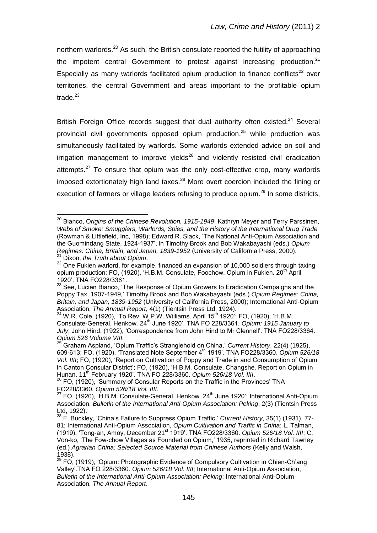northern warlords.<sup>20</sup> As such, the British consulate reported the futility of approaching the impotent central Government to protest against increasing production.<sup>21</sup> Especially as many warlords facilitated opium production to finance conflicts<sup>22</sup> over territories, the central Government and areas important to the profitable opium trade $^{23}$ 

British Foreign Office records suggest that dual authority often existed. $24$  Several provincial civil governments opposed opium production, <sup>25</sup> while production was simultaneously facilitated by warlords. Some warlords extended advice on soil and  $i$ rrigation management to improve vields<sup>26</sup> and violently resisted civil eradication attempts.<sup>27</sup> To ensure that opium was the only cost-effective crop, many warlords imposed extortionately high land taxes.<sup>28</sup> More overt coercion included the fining or execution of farmers or village leaders refusing to produce opium.<sup>29</sup> In some districts.

<sup>20</sup> Bianco, O*rigins of the Chinese Revolution, 1915-1949*; Kathryn Meyer and Terry Parssinen, *Webs of Smoke: Smugglers, Warlords, Spies, and the History of the International Drug Trade* (Rowman & Littlefield, Inc, 1998); Edward R. Slack, "The National Anti-Opium Association and the Guomindang State, 1924-1937", in Timothy Brook and Bob Wakabayashi (eds.) *Opium Regimes: China, Britain, and Japan, 1839-1952* (University of California Press, 2000). <sup>21</sup> Dixon, *the Truth about Opium*.

<sup>&</sup>lt;sup>22</sup> One Fukien warlord, for example, financed an expansion of 10,000 soldiers through taxing opium production: FO, (1920), 'H.B.M. Consulate, Foochow. Opium in Fukien. 20<sup>th</sup> April 1920". TNA FO228/3361.

 $^{23}$  See, Lucien Bianco, 'The Response of Opium Growers to Eradication Campaigns and the Poppy Tax, 1907-1949," Timothy Brook and Bob Wakabayashi (eds.) *Opium Regimes: China, Britain, and Japan, 1839-1952* (University of California Press, 2000); International Anti-Opium Association, *The Annual Report,* 4(1) (Tientsin Press Ltd, 1924).

 $^{24}$  W.R. Cole, (1920), 'To Rev. W.P.W. Williams. April 15<sup>th</sup> 1920'; FO, (1920), 'H.B.M. Consulate-General, Henkow. 24th June 1920". TNA FO 228/3361. *Opium: 1915 January to*  July; John Hind, (1922), 'Correspondence from John Hind to Mr Clennell'. TNA FO228/3364. *Opium 526 Volume VIII.*

<sup>25</sup> Graham Aspland, "Opium Traffic"s Stranglehold on China," *Current History*, 22(4) (1925), 609-613; FO, (1920), "Translated Note September 4th 1919". TNA FO228/3360. *Opium 526/18 Vol. IIII*; FO, (1920), "Report on Cultivation of Poppy and Trade in and Consumption of Opium in Canton Consular District"; FO, (1920), "H.B.M. Consulate, Changshe. Report on Opium in Hunan. 11th February 1920". TNA FO 228/3360. *Opium 526/18 Vol. IIII*.

 $^{26}$  FO, (1920), 'Summary of Consular Reports on the Traffic in the Provinces' TNA FO228/3360. *Opium 526/18 Vol. IIII.*

<sup>&</sup>lt;sup>27</sup> FO, (1920), 'H.B.M. Consulate-General, Henkow. 24<sup>th</sup> June 1920'; International Anti-Opium Association, *Bulletin of the International Anti-Opium Association: Peking*, 2(3) (Tientsin Press Ltd, 1922).

<sup>28</sup> F. Buckley, "China"s Failure to Suppress Opium Traffic," *Current History*, 35(1) (1931), 77- 81; International Anti-Opium Association, *Opium Cultivation and Traffic in China*; L. Talman, (1919), "Tong-an, Amoy, December 21st 1919". TNA FO228/3360. *Opium 526/18 Vol. IIII*; C. Von-ko, "The Fow-chow Villages as Founded on Opium," 1935, reprinted in Richard Tawney (ed.) *Agrarian China: Selected Source Material from Chinese Authors* (Kelly and Walsh, 1938).

 $29$  FO, (1919), 'Opium: Photographic Evidence of Compulsory Cultivation in Chien-Ch'ang Valley".TNA FO 228/3360. *Opium 526/18 Vol. IIII*; International Anti-Opium Association, *Bulletin of the International Anti-Opium Association: Peking*; International Anti-Opium Association, *The Annual Report*.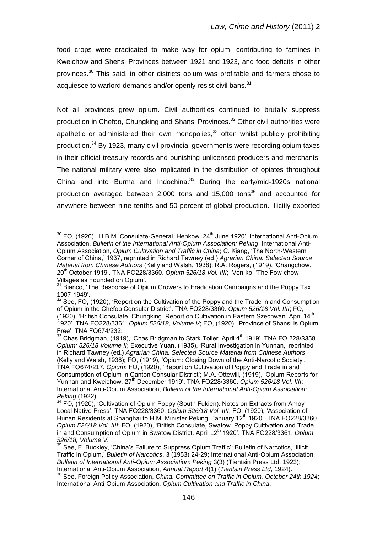food crops were eradicated to make way for opium, contributing to famines in Kweichow and Shensi Provinces between 1921 and 1923, and food deficits in other provinces.<sup>30</sup> This said, in other districts opium was profitable and farmers chose to acquiesce to warlord demands and/or openly resist civil bans.<sup>31</sup>

Not all provinces grew opium. Civil authorities continued to brutally suppress production in Chefoo, Chungking and Shansi Provinces.<sup>32</sup> Other civil authorities were apathetic or administered their own monopolies, $33$  often whilst publicly prohibiting production.<sup>34</sup> By 1923, many civil provincial governments were recording opium taxes in their official treasury records and punishing unlicensed producers and merchants. The national military were also implicated in the distribution of opiates throughout China and into Burma and Indochina.<sup>35</sup> During the early/mid-1920s national production averaged between 2,000 tons and 15,000 tons<sup>36</sup> and accounted for anywhere between nine-tenths and 50 percent of global production. Illicitly exported

 $30$  FO, (1920), 'H.B.M. Consulate-General, Henkow.  $24<sup>th</sup>$  June 1920'; International Anti-Opium Association, *Bulletin of the International Anti-Opium Association: Peking*; International Anti-Opium Association, *Opium Cultivation and Traffic in China*; C. Kiang, "The North-Western Corner of China," 1937, reprinted in Richard Tawney (ed.) *Agrarian China: Selected Source Material from Chinese Authors* (Kelly and Walsh, 1938); R.A. Rogers, (1919), "Changchow. 20th October 1919". TNA FO228/3360. *Opium 526/18 Vol. IIII*; Von-ko, "The Fow-chow Villages as Founded on Opium".

<sup>&</sup>lt;sup>31</sup> Bianco, 'The Response of Opium Growers to Eradication Campaigns and the Poppy Tax, 1907-1949".

<sup>&</sup>lt;sup>32</sup> See, FO, (1920), 'Report on the Cultivation of the Poppy and the Trade in and Consumption of Opium in the Chefoo Consular District". TNA FO228/3360. *Opium 526/18 Vol. IIII*; FO, (1920), 'British Consulate, Chungking. Report on Cultivation in Eastern Szechwan. April 14<sup>th</sup> 1920". TNA FO228/3361. *Opium 526/18, Volume V*; FO, (1920), "Province of Shansi is Opium Free". TNA FO674/232.

<sup>33</sup> Chas Bridgman, (1919), 'Chas Bridgman to Stark Toller. April 4<sup>th</sup> 1919'. TNA FO 228/3358. *Opium: 526/18 Volume II*; Executive Yuan, (1935), "Rural Investigation in Yunnan," reprinted in Richard Tawney (ed.) *Agrarian China: Selected Source Material from Chinese Authors* (Kelly and Walsh, 1938); FO, (1919), "Opium: Closing Down of the Anti-Narcotic Society". TNA FO674/217. *Opium*; FO, (1920), "Report on Cultivation of Poppy and Trade in and Consumption of Opium in Canton Consular District"; M.A. Ottewill, (1919), "Opium Reports for Yunnan and Kweichow. 27th December 1919". TNA FO228/3360. *Opium 526/18 Vol. IIII*; International Anti-Opium Association, *Bulletin of the International Anti-Opium Association: Peking* (1922).

 $34$  FO, (1920), 'Cultivation of Opium Poppy (South Fukien). Notes on Extracts from Amoy Local Native Press'. TNA FO228/3360. Opium 526/18 Vol. IIII; FO, (1920), 'Association of Hunan Residents at Shanghai to H.M. Minister Peking. January 12<sup>th</sup> 1920'. TNA FO228/3360. *Opium 526/18 Vol. IIII*; FO, (1920), "British Consulate, Swatow. Poppy Cultivation and Trade in and Consumption of Opium in Swatow District. April 12<sup>th</sup> 1920'. TNA FO228/3361. Opium *526/18, Volume V.*

 $35$  See, F. Buckley, 'China's Failure to Suppress Opium Traffic'; Bulletin of Narcotics, 'Illicit Traffic in Opium," *Bulletin of Narcotics*, 3 (1953) 24-29; International Anti-Opium Association, *Bulletin of International Anti-Opium Association: Peking* 3(3) (Tientsin Press Ltd, 1923); International Anti-Opium Association, *Annual Report* 4(1) (*Tientsin Press Ltd*, 1924).

<sup>36</sup> See, Foreign Policy Association, *China. Committee on Traffic in Opium. October 24th 1924*; International Anti-Opium Association, *Opium Cultivation and Traffic in China*.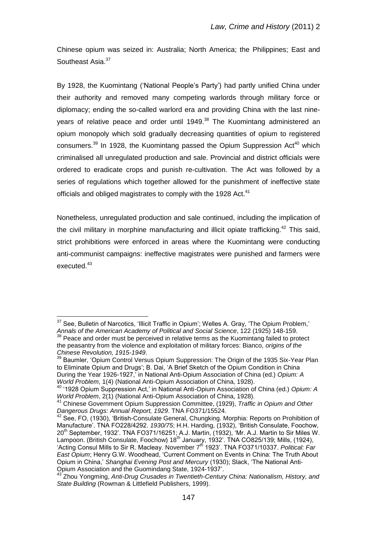Chinese opium was seized in: Australia; North America; the Philippines; East and Southeast Asia.<sup>37</sup>

By 1928, the Kuomintang ('National People's Party') had partly unified China under their authority and removed many competing warlords through military force or diplomacy; ending the so-called warlord era and providing China with the last nineyears of relative peace and order until 1949.<sup>38</sup> The Kuomintang administered an opium monopoly which sold gradually decreasing quantities of opium to registered consumers.<sup>39</sup> In 1928, the Kuomintang passed the Opium Suppression Act<sup>40</sup> which criminalised all unregulated production and sale. Provincial and district officials were ordered to eradicate crops and punish re-cultivation. The Act was followed by a series of regulations which together allowed for the punishment of ineffective state officials and obliged magistrates to comply with the 1928 Act.<sup>41</sup>

Nonetheless, unregulated production and sale continued, including the implication of the civil military in morphine manufacturing and illicit opiate trafficking.<sup>42</sup> This said, strict prohibitions were enforced in areas where the Kuomintang were conducting anti-communist campaigns: ineffective magistrates were punished and farmers were executed.<sup>43</sup>

 $\overline{a}$  $37$  See, Bulletin of Narcotics, 'Illicit Traffic in Opium'; Welles A. Gray, 'The Opium Problem,' *Annals of the American Academy of Political and Social Science*, 122 (1925) 148-159.  $38$  Peace and order must be perceived in relative terms as the Kuomintang failed to protect the peasantry from the violence and exploitation of military forces: Bianco, *origins of the Chinese Revolution, 1915-1949*.

<sup>&</sup>lt;sup>39</sup> Baumler, 'Opium Control Versus Opium Suppression: The Origin of the 1935 Six-Year Plan to Eliminate Opium and Drugs'; B. Dai, 'A Brief Sketch of the Opium Condition in China During the Year 1926-1927," in National Anti-Opium Association of China (ed.) *Opium: A World Problem*, 1(4) (National Anti-Opium Association of China, 1928).

<sup>40</sup> "1928 Opium Suppression Act," in National Anti-Opium Association of China (ed.) *Opium: A World Problem*, 2(1) (National Anti-Opium Association of China, 1928).

<sup>41</sup> Chinese Government Opium Suppression Committee, (1929), *Traffic in Opium and Other Dangerous Drugs: Annual Report, 1929*. TNA FO371/15524.

 $42$  See, FO, (1930), 'British-Consulate General, Chungking. Morphia: Reports on Prohibition of Manufacture'. TNA FO228/4292. 1930/75; H.H. Harding, (1932), 'British Consulate, Foochow, 20<sup>th</sup> September, 1932'. TNA FO371/16251; A.J. Martin, (1932), 'Mr. A.J. Martin to Sir Miles W. Lampoon. (British Consulate, Foochow) 18<sup>th</sup> January, 1932'. TNA CO825/139; Mills, (1924), 'Acting Consul Mills to Sir R. Macleay. November 7<sup>th</sup> 1923'. TNA FO371/10337. Political: Far *East Opium*; Henry G.W. Woodhead, "Current Comment on Events in China: The Truth About Opium in China," *Shanghai Evening Post and Mercury* (1930); Slack, "The National Anti-Opium Association and the Guomindang State, 1924-1937".

<sup>43</sup> Zhou Yongming, *Anti-Drug Crusades in Twentieth-Century China: Nationalism, History, and State Building* (Rowman & Littlefield Publishers, 1999).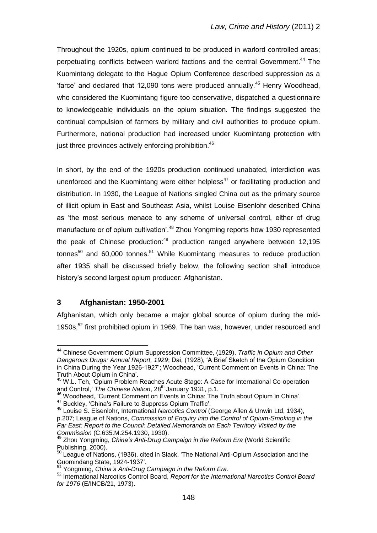Throughout the 1920s, opium continued to be produced in warlord controlled areas; perpetuating conflicts between warlord factions and the central Government.<sup>44</sup> The Kuomintang delegate to the Hague Opium Conference described suppression as a "farce" and declared that 12,090 tons were produced annually.<sup>45</sup> Henry Woodhead, who considered the Kuomintang figure too conservative, dispatched a questionnaire to knowledgeable individuals on the opium situation. The findings suggested the continual compulsion of farmers by military and civil authorities to produce opium. Furthermore, national production had increased under Kuomintang protection with just three provinces actively enforcing prohibition.<sup>46</sup>

In short, by the end of the 1920s production continued unabated, interdiction was unenforced and the Kuomintang were either helpless<sup>47</sup> or facilitating production and distribution. In 1930, the League of Nations singled China out as the primary source of illicit opium in East and Southeast Asia, whilst Louise Eisenlohr described China as "the most serious menace to any scheme of universal control, either of drug manufacture or of opium cultivation'.<sup>48</sup> Zhou Yongming reports how 1930 represented the peak of Chinese production:<sup>49</sup> production ranged anywhere between 12,195 tonnes<sup>50</sup> and 60,000 tonnes.<sup>51</sup> While Kuomintang measures to reduce production after 1935 shall be discussed briefly below, the following section shall introduce history"s second largest opium producer: Afghanistan.

### **3 Afghanistan: 1950-2001**

 $\overline{a}$ 

Afghanistan, which only became a major global source of opium during the mid-1950s,<sup>52</sup> first prohibited opium in 1969. The ban was, however, under resourced and

<sup>44</sup> Chinese Government Opium Suppression Committee, (1929), *Traffic in Opium and Other Dangerous Drugs: Annual Report, 1929*; Dai, (1928), "A Brief Sketch of the Opium Condition in China During the Year 1926-1927"; Woodhead, "Current Comment on Events in China: The Truth About Opium in China".

<sup>&</sup>lt;sup>45</sup> W.L. Teh, 'Opium Problem Reaches Acute Stage: A Case for International Co-operation and Control,' The Chinese Nation, 28<sup>th</sup> January 1931, p.1.

<sup>&</sup>lt;sup>46</sup> Woodhead, 'Current Comment on Events in China: The Truth about Opium in China'. 47 Buckley, 'China's Failure to Suppress Opium Traffic'.

<sup>48</sup> Louise S. Eisenlohr, International *Narcotics Control* (George Allen & Unwin Ltd, 1934), p.207; League of Nations, *Commission of Enquiry into the Control of Opium-Smoking in the Far East: Report to the Council: Detailed Memoranda on Each Territory Visited by the Commission* (C.635.M.254.1930, 1930).

<sup>49</sup> Zhou Yongming, *China's Anti-Drug Campaign in the Reform Era* (World Scientific Publishing, 2000).

<sup>50</sup> League of Nations, (1936), cited in Slack, 'The National Anti-Opium Association and the Guomindang State, 1924-1937".

<sup>51</sup> Yongming, *China's Anti-Drug Campaign in the Reform Era*.

<sup>52</sup> International Narcotics Control Board, *Report for the International Narcotics Control Board for 1976* (E/INCB/21, 1973).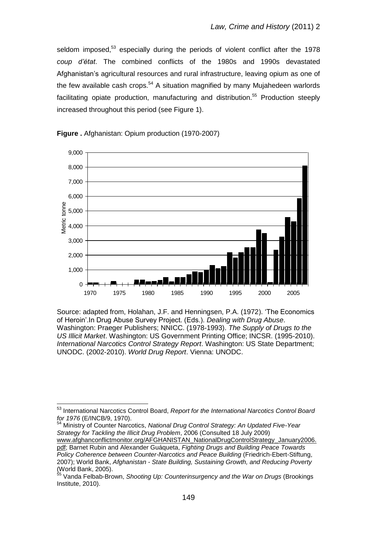seldom imposed,<sup>53</sup> especially during the periods of violent conflict after the 1978 *coup d'état*. The combined conflicts of the 1980s and 1990s devastated Afghanistan"s agricultural resources and rural infrastructure, leaving opium as one of the few available cash crops. $54$  A situation magnified by many Mujahedeen warlords facilitating opiate production, manufacturing and distribution.<sup>55</sup> Production steeply increased throughout this period (see Figure 1).



**Figure .** Afghanistan: Opium production (1970-2007)

Source: adapted from, Holahan, J.F. and Henningsen, P.A. (1972). "The Economics of Heroin".In Drug Abuse Survey Project. (Eds.). *Dealing with Drug Abuse*. Washington: Praeger Publishers; NNICC. (1978-1993). *The Supply of Drugs to the US Illicit Market*. Washington: US Government Printing Office; INCSR. (1995-2010). *International Narcotics Control Strategy Report*. Washington: US State Department; UNODC. (2002-2010). *World Drug Report*. Vienna: UNODC.

 $\overline{a}$ 

<sup>54</sup> Ministry of Counter Narcotics, *National Drug Control Strategy: An Updated Five-Year Strategy for Tackling the Illicit Drug Problem*, 2006 (Consulted 18 July 2009) [www.afghanconflictmonitor.org/AFGHANISTAN\\_NationalDrugControlStrategy\\_January2006.](http://www.afghanconflictmonitor.org/AFGHANISTAN_NationalDrugControlStrategy_January2006.pdf) [pdf;](http://www.afghanconflictmonitor.org/AFGHANISTAN_NationalDrugControlStrategy_January2006.pdf) Barnet Rubin and Alexander Guáqueta, *Fighting Drugs and Building Peace Towards Policy Coherence between Counter-Narcotics and Peace Building* (Friedrich-Ebert-Stiftung, 2007); World Bank, *Afghanistan - State Building, Sustaining Growth, and Reducing Poverty* (World Bank, 2005).

<sup>53</sup> International Narcotics Control Board, *Report for the International Narcotics Control Board for 1976* (E/INCB/9, 1970).

<sup>55</sup> Vanda Felbab-Brown, *Shooting Up: Counterinsurgency and the War on Drugs* (Brookings Institute, 2010).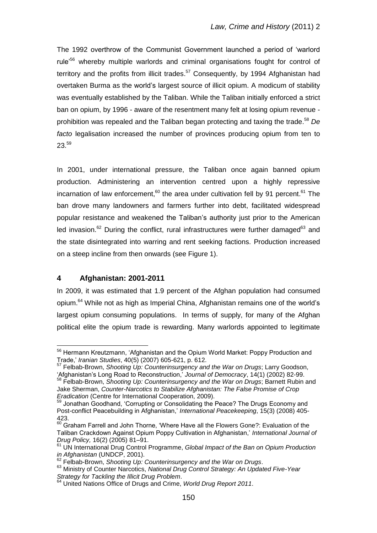The 1992 overthrow of the Communist Government launched a period of "warlord rule<sup>56</sup> whereby multiple warlords and criminal organisations fought for control of territory and the profits from illicit trades.<sup>57</sup> Consequently, by 1994 Afghanistan had overtaken Burma as the world"s largest source of illicit opium. A modicum of stability was eventually established by the Taliban. While the Taliban initially enforced a strict ban on opium, by 1996 - aware of the resentment many felt at losing opium revenue prohibition was repealed and the Taliban began protecting and taxing the trade. <sup>58</sup> *De facto* legalisation increased the number of provinces producing opium from ten to  $23.59$ 

In 2001, under international pressure, the Taliban once again banned opium production. Administering an intervention centred upon a highly repressive incarnation of law enforcement,<sup>60</sup> the area under cultivation fell by 91 percent.<sup>61</sup> The ban drove many landowners and farmers further into debt, facilitated widespread popular resistance and weakened the Taliban"s authority just prior to the American led invasion.<sup>62</sup> During the conflict, rural infrastructures were further damaged<sup>63</sup> and the state disintegrated into warring and rent seeking factions. Production increased on a steep incline from then onwards (see Figure 1).

# **4 Afghanistan: 2001-2011**

 $\overline{a}$ 

In 2009, it was estimated that 1.9 percent of the Afghan population had consumed opium.<sup>64</sup> While not as high as Imperial China, Afghanistan remains one of the world"s largest opium consuming populations. In terms of supply, for many of the Afghan political elite the opium trade is rewarding. Many warlords appointed to legitimate

<sup>&</sup>lt;sup>56</sup> Hermann Kreutzmann, 'Afghanistan and the Opium World Market: Poppy Production and Trade," *Iranian Studies*, 40(5) (2007) 605-621, p. 612.

<sup>57</sup> Felbab-Brown, *Shooting Up: Counterinsurgency and the War on Drugs*; Larry Goodson, "Afghanistan"s Long Road to Reconstruction," *Journal of Democracy*, 14(1) (2002) 82-99. <sup>58</sup> Felbab-Brown, *Shooting Up: Counterinsurgency and the War on Drugs*; Barnett Rubin and Jake Sherman, *Counter-Narcotics to Stabilize Afghanistan: The False Promise of Crop* 

*Eradication* (Centre for International Cooperation, 2009).  $59$  Jonathan Goodhand, 'Corrupting or Consolidating the Peace? The Drugs Economy and Post-conflict Peacebuilding in Afghanistan,' International Peacekeeping, 15(3) (2008) 405-423.

 $^{60}$  Graham Farrell and John Thorne, 'Where Have all the Flowers Gone?: Evaluation of the Taliban Crackdown Against Opium Poppy Cultivation in Afghanistan," *International Journal of Drug Policy,* 16(2) (2005) 81–91.

<sup>61</sup> UN International Drug Control Programme, *Global Impact of the Ban on Opium Production in Afghanistan* (UNDCP, 2001).

<sup>62</sup> Felbab-Brown, *Shooting Up: Counterinsurgency and the War on Drugs*.

<sup>63</sup> Ministry of Counter Narcotics, *National Drug Control Strategy: An Updated Five-Year Strategy for Tackling the Illicit Drug Problem*.

<sup>&</sup>lt;sup>4</sup> United Nations Office of Drugs and Crime, *World Drug Report 2011*.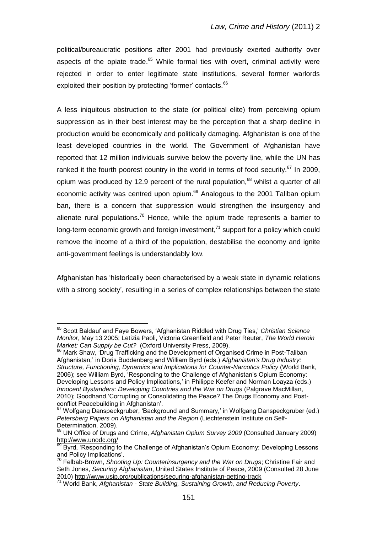political/bureaucratic positions after 2001 had previously exerted authority over aspects of the opiate trade.<sup>65</sup> While formal ties with overt, criminal activity were rejected in order to enter legitimate state institutions, several former warlords exploited their position by protecting 'former' contacts.<sup>66</sup>

A less iniquitous obstruction to the state (or political elite) from perceiving opium suppression as in their best interest may be the perception that a sharp decline in production would be economically and politically damaging. Afghanistan is one of the least developed countries in the world. The Government of Afghanistan have reported that 12 million individuals survive below the poverty line, while the UN has ranked it the fourth poorest country in the world in terms of food security.<sup>67</sup> In 2009, opium was produced by 12.9 percent of the rural population,<sup>68</sup> whilst a quarter of all economic activity was centred upon opium.<sup>69</sup> Analogous to the 2001 Taliban opium ban, there is a concern that suppression would strengthen the insurgency and alienate rural populations.<sup>70</sup> Hence, while the opium trade represents a barrier to long-term economic growth and foreign investment, $71$  support for a policy which could remove the income of a third of the population, destabilise the economy and ignite anti-government feelings is understandably low.

Afghanistan has "historically been characterised by a weak state in dynamic relations with a strong society", resulting in a series of complex relationships between the state

<sup>65</sup> Scott Baldauf and Faye Bowers, "Afghanistan Riddled with Drug Ties," *Christian Science Monitor*, May 13 2005; Letizia Paoli, Victoria Greenfield and Peter Reuter, *The World Heroin Market: Can Supply be Cut?* (Oxford University Press, 2009).

<sup>&</sup>lt;sup>66</sup> Mark Shaw, 'Drug Trafficking and the Development of Organised Crime in Post-Taliban Afghanistan," in Doris Buddenberg and William Byrd (eds.) *Afghanistan's Drug Industry: Structure, Functioning, Dynamics and Implications for Counter-Narcotics Policy* (World Bank, 2006); see William Byrd, "Responding to the Challenge of Afghanistan"s Opium Economy: Developing Lessons and Policy Implications," in Philippe Keefer and Norman Loayza (eds.) *Innocent Bystanders: Developing Countries and the War on Drugs* (Palgrave MacMillan, 2010); Goodhand,"Corrupting or Consolidating the Peace? The Drugs Economy and Postconflict Peacebuilding in Afghanistan".

 $67$  Wolfgang Danspeckgruber, 'Background and Summary,' in Wolfgang Danspeckgruber (ed.) *Petersberg Papers on Afghanistan and the Region* (Liechtenstein Institute on Self-Determination, 2009).

<sup>68</sup> UN Office of Drugs and Crime, *Afghanistan Opium Survey 2009* (Consulted January 2009) <http://www.unodc.org/>

<sup>69</sup> Byrd, "Responding to the Challenge of Afghanistan"s Opium Economy: Developing Lessons and Policy Implications".

<sup>70</sup> Felbab-Brown, *Shooting Up: Counterinsurgency and the War on Drugs*; Christine Fair and Seth Jones, *Securing Afghanistan*, United States Institute of Peace, 2009 (Consulted 28 June 2010) http://www.usip.org/publications/securing-afghanistan-getting-track

<sup>71</sup> World Bank, *Afghanistan - State Building, Sustaining Growth, and Reducing Poverty*.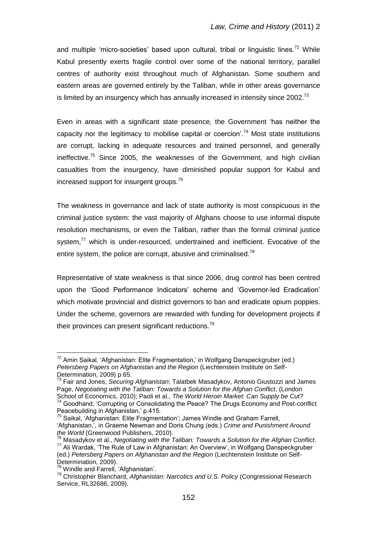and multiple 'micro-societies' based upon cultural, tribal or linguistic lines.<sup>72</sup> While Kabul presently exerts fragile control over some of the national territory, parallel centres of authority exist throughout much of Afghanistan. Some southern and eastern areas are governed entirely by the Taliban, while in other areas governance is limited by an insurgency which has annually increased in intensity since 2002.<sup>73</sup>

Even in areas with a significant state presence, the Government "has neither the capacity nor the legitimacy to mobilise capital or coercion'.<sup>74</sup> Most state institutions are corrupt, lacking in adequate resources and trained personnel, and generally ineffective.<sup>75</sup> Since 2005, the weaknesses of the Government, and high civilian casualties from the insurgency, have diminished popular support for Kabul and increased support for insurgent groups.<sup>76</sup>

The weakness in governance and lack of state authority is most conspicuous in the criminal justice system: the vast majority of Afghans choose to use informal dispute resolution mechanisms, or even the Taliban, rather than the formal criminal justice system,<sup>77</sup> which is under-resourced, undertrained and inefficient. Evocative of the entire system, the police are corrupt, abusive and criminalised.<sup>78</sup>

Representative of state weakness is that since 2006, drug control has been centred upon the "Good Performance Indicators" scheme and "Governor-led Eradication" which motivate provincial and district governors to ban and eradicate opium poppies. Under the scheme, governors are rewarded with funding for development projects if their provinces can present significant reductions.<sup>79</sup>

 $72$  Amin Saikal, 'Afghanistan: Elite Fragmentation,' in Wolfgang Danspeckgruber (ed.) *Petersberg Papers on Afghanistan and the Region* (Liechtenstein Institute on Self-Determination, 2009) p.65.<br> $^{73}$  Enix cases

<sup>73</sup> Fair and Jones, *Securing Afghanistan*; Talatbek Masadykov, Antonio Giustozzi and James Page, *Negotiating with the Taliban: Towards a Solution for the Afghan Conflict*, (London School of Economics, 2010); Paoli et al., *The World Heroin Market: Can Supply be Cut?*

 $74$  Goodhand, 'Corrupting or Consolidating the Peace? The Drugs Economy and Post-conflict Peacebuilding in Afghanistan,' p.415.

<sup>&</sup>lt;sup>75</sup> Saikal, 'Afghanistan: Elite Fragmentation'; James Windle and Graham Farrell, "Afghanistan,", in Graeme Newman and Doris Chung (eds.) *Crime and Punishment Around the World* (Greenwood Publishers, 2010).

<sup>76</sup> Masadykov et al., *Negotiating with the Taliban: Towards a Solution for the Afghan Conflict*. <sup>77</sup> Ali Wardak, "The Rule of Law in Afghanistan: An Overview", in Wolfgang Danspeckgruber (ed.) *Petersberg Papers on Afghanistan and the Region* (Liechtenstein Institute on Self-Determination, 2009).

 $78$  Windle and Farrell, 'Afghanistan'.

<sup>79</sup> Christopher Blanchard, *Afghanistan: Narcotics and U.S. Policy* (Congressional Research Service, RL32686, 2009).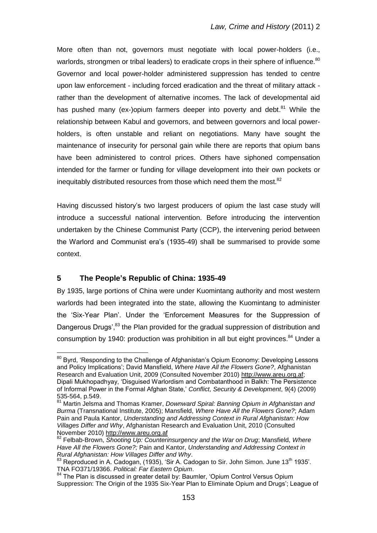More often than not, governors must negotiate with local power-holders (i.e., warlords, strongmen or tribal leaders) to eradicate crops in their sphere of influence.<sup>80</sup> Governor and local power-holder administered suppression has tended to centre upon law enforcement - including forced eradication and the threat of military attack rather than the development of alternative incomes. The lack of developmental aid has pushed many (ex-)opium farmers deeper into poverty and debt.<sup>81</sup> While the relationship between Kabul and governors, and between governors and local powerholders, is often unstable and reliant on negotiations. Many have sought the maintenance of insecurity for personal gain while there are reports that opium bans have been administered to control prices. Others have siphoned compensation intended for the farmer or funding for village development into their own pockets or inequitably distributed resources from those which need them the most.<sup>82</sup>

Having discussed history"s two largest producers of opium the last case study will introduce a successful national intervention. Before introducing the intervention undertaken by the Chinese Communist Party (CCP), the intervening period between the Warlord and Communist era"s (1935-49) shall be summarised to provide some context.

### **5 The People's Republic of China: 1935-49**

 $\overline{a}$ 

By 1935, large portions of China were under Kuomintang authority and most western warlords had been integrated into the state, allowing the Kuomintang to administer the "Six-Year Plan". Under the "Enforcement Measures for the Suppression of Dangerous Drugs',<sup>83</sup> the Plan provided for the gradual suppression of distribution and consumption by 1940: production was prohibition in all but eight provinces.  $84$  Under a

<sup>&</sup>lt;sup>80</sup> Byrd, 'Responding to the Challenge of Afghanistan's Opium Economy: Developing Lessons and Policy Implications"; David Mansfield, *Where Have All the Flowers Gone?*, Afghanistan Research and Evaluation Unit, 2009 (Consulted November 2010) [http://www.areu.org.af;](http://www.areu.org.af/) Dipali Mukhopadhyay, "Disguised Warlordism and Combatanthood in Balkh: The Persistence of Informal Power in the Formal Afghan State," *Conflict, Security & Development*, 9(4) (2009) 535-564, p.549.

<sup>81</sup> Martin Jelsma and Thomas Kramer, *Downward Spiral: Banning Opium in Afghanistan and Burma* (Transnational Institute, 2005); Mansfield, *Where Have All the Flowers Gone?*; Adam Pain and Paula Kantor, *Understanding and Addressing Context in Rural Afghanistan: How Villages Differ and Why*, Afghanistan Research and Evaluation Unit, 2010 (Consulted November 2010) http://www.areu.org.af

<sup>82</sup> Felbab-Brown, *Shooting Up: Counterinsurgency and the War on Drug*; Mansfield, *Where Have All the Flowers Gone?;* Pain and Kantor, *Understanding and Addressing Context in Rural Afghanistan: How Villages Differ and Why*.

 $83$  Reproduced in A. Cadogan, (1935), 'Sir A. Cadogan to Sir. John Simon. June 13<sup>th</sup> 1935'. TNA FO371/19366. *Political: Far Eastern Opium*.

<sup>84</sup> The Plan is discussed in greater detail by: Baumler, 'Opium Control Versus Opium Suppression: The Origin of the 1935 Six-Year Plan to Eliminate Opium and Drugs"; League of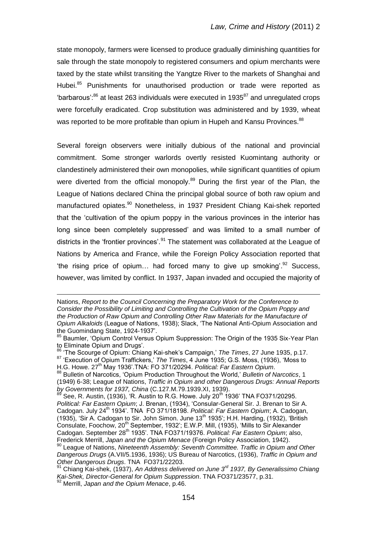state monopoly, farmers were licensed to produce gradually diminishing quantities for sale through the state monopoly to registered consumers and opium merchants were taxed by the state whilst transiting the Yangtze River to the markets of Shanghai and Hubei.<sup>85</sup> Punishments for unauthorised production or trade were reported as "barbarous": $86$  at least 263 individuals were executed in 1935 $87$  and unregulated crops were forcefully eradicated. Crop substitution was administered and by 1939, wheat was reported to be more profitable than opium in Hupeh and Kansu Provinces.<sup>88</sup>

Several foreign observers were initially dubious of the national and provincial commitment. Some stronger warlords overtly resisted Kuomintang authority or clandestinely administered their own monopolies, while significant quantities of opium were diverted from the official monopoly.<sup>89</sup> During the first year of the Plan, the League of Nations declared China the principal global source of both raw opium and manufactured opiates.<sup>90</sup> Nonetheless, in 1937 President Chiang Kai-shek reported that the "cultivation of the opium poppy in the various provinces in the interior has long since been completely suppressed' and was limited to a small number of districts in the 'frontier provinces'.<sup>91</sup> The statement was collaborated at the League of Nations by America and France, while the Foreign Policy Association reported that "the rising price of opium... had forced many to give up smoking". $92$  Success, however, was limited by conflict. In 1937, Japan invaded and occupied the majority of

1

Nations, *Report to the Council Concerning the Preparatory Work for the Conference to Consider the Possibility of Limiting and Controlling the Cultivation of the Opium Poppy and the Production of Raw Opium and Controlling Other Raw Materials for the Manufacture of Opium Alkaloids* (League of Nations, 1938); Slack, "The National Anti-Opium Association and the Guomindang State, 1924-1937".

<sup>85</sup> Baumler, 'Opium Control Versus Opium Suppression: The Origin of the 1935 Six-Year Plan to Eliminate Opium and Drugs'.

<sup>86</sup> "The Scourge of Opium: Chiang Kai-shek"s Campaign," *The Times*, 27 June 1935, p.17.

<sup>87 &</sup>quot;Execution of Opium Traffickers," The Times, 4 June 1935; G.S. Moss, (1936), "Moss to H.G. Howe. 27th May 1936".TNA: FO 371/20294. *Political: Far Eastern Opium*.

<sup>88</sup> Bulletin of Narcotics, "Opium Production Throughout the World," *Bulletin of Narcotics*, 1 (1949) 6-38; League of Nations, *Traffic in Opium and other Dangerous Drugs: Annual Reports by Governments for 1937, China (C.127.M.79.1939.XI, 1939).*<br><sup>89</sup> Sec. P. A. (1936). (1999).

See, R. Austin, (1936), 'R. Austin to R.G. Howe. July 20<sup>th</sup> 1936' TNA FO371/20295. *Political: Far Eastern Opium*; J. Brenan, (1934), "Consular-General Sir. J. Brenan to Sir A. Cadogan. July 24th 1934". TNA FO 371/18198. *Political: Far Eastern Opium*; A. Cadogan, (1935), 'Sir A. Cadogan to Sir. John Simon. June 13<sup>th</sup> 1935'; H.H. Harding, (1932), 'British Consulate, Foochow, 20<sup>th</sup> September, 1932'; E.W.P. Mill, (1935), 'Mills to Sir Alexander Cadogan. September 28th 1935". TNA FO371/19376. *Political: Far Eastern Opium*; also, Frederick Merrill, *Japan and the Opium Menace* (Foreign Policy Association, 1942).

<sup>90</sup> League of Nations, *Nineteenth Assembly: Seventh Committee. Traffic in Opium and Other Dangerous Drugs* (A.VII/5.1936, 1936); US Bureau of Narcotics, (1936), *Traffic in Opium and Other Dangerous Drugs*. TNA FO371/22203.

<sup>91</sup> Chiang Kai-shek, (1937), *An Address delivered on June 3rd 1937, By Generalissimo Chiang Kai-Shek, Director-General for Opium Suppression*. TNA FO371/23577, p.31. <sup>92</sup> Merrill, *Japan and the Opium Menace*, p.46.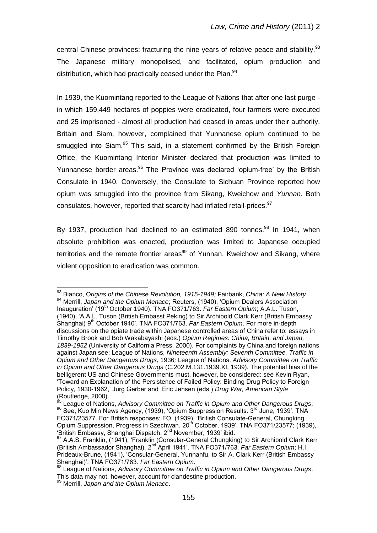central Chinese provinces: fracturing the nine years of relative peace and stability.<sup>93</sup> The Japanese military monopolised, and facilitated, opium production and distribution, which had practically ceased under the Plan.<sup>94</sup>

In 1939, the Kuomintang reported to the League of Nations that after one last purge in which 159,449 hectares of poppies were eradicated, four farmers were executed and 25 imprisoned - almost all production had ceased in areas under their authority. Britain and Siam, however, complained that Yunnanese opium continued to be smuggled into Siam.<sup>95</sup> This said, in a statement confirmed by the British Foreign Office, the Kuomintang Interior Minister declared that production was limited to Yunnanese border areas.<sup>96</sup> The Province was declared 'opium-free' by the British Consulate in 1940. Conversely, the Consulate to Sichuan Province reported how opium was smuggled into the province from Sikang, Kweichow and *Yunnan*. Both consulates, however, reported that scarcity had inflated retail-prices.<sup>97</sup>

By 1937, production had declined to an estimated 890 tonnes.<sup>98</sup> In 1941, when absolute prohibition was enacted, production was limited to Japanese occupied territories and the remote frontier areas $99$  of Yunnan, Kweichow and Sikang, where violent opposition to eradication was common.

<sup>93</sup> Bianco, O*rigins of the Chinese Revolution, 1915-1949;* Fairbank, *China: A New History*. <sup>94</sup> Merrill, *Japan and the Opium Menace*; Reuters, (1940), "Opium Dealers Association Inauguration" (19th October 1940). TNA FO371/763. *Far Eastern Opium*; A.A.L. Tuson, (1940), "A.A.L. Tuson (British Embasst Peking) to Sir Archibold Clark Kerr (British Embassy Shanghai) 9<sup>th</sup> October 1940'. TNA FO371/763. *Far Eastern Opium*. For more in-depth discussions on the opiate trade within Japanese controlled areas of China refer to: essays in Timothy Brook and Bob Wakabayashi (eds.) *Opium Regimes: China, Britain, and Japan, 1839-1952* (University of California Press, 2000). For complaints by China and foreign nations against Japan see: League of Nations, *Nineteenth Assembly: Seventh Committee. Traffic in Opium and Other Dangerous Drugs,* 1936*;* League of Nations, *Advisory Committee on Traffic in Opium and Other Dangerous Drugs* (C.202.M.131.1939.XI, 1939). The potential bias of the belligerent US and Chinese Governments must, however, be considered: see Kevin Ryan, "Toward an Explanation of the Persistence of Failed Policy: Binding Drug Policy to Foreign Policy, 1930-1962," Jurg Gerber and Eric Jensen (eds.) *Drug War, American Style*  $($ Routledge, 2000).

<sup>95</sup> League of Nations, *Advisory Committee on Traffic in Opium and Other Dangerous Drugs*. 96 See, Kuo Min News Agency, (1939), 'Opium Suppression Results. 3<sup>rd</sup> June, 1939'. TNA FO371/23577. For British responses: FO, (1939), "British Consulate-General, Chungking. Opium Suppression, Progress in Szechwan. 20<sup>th</sup> October, 1939'. TNA FO371/23577; (1939), "British Embassy, Shanghai Dispatch, 2nd November, 1939" ibid.

<sup>&</sup>lt;sup>7</sup> A.A.S. Franklin, (1941), 'Franklin (Consular-General Chungking) to Sir Archibold Clark Kerr (British Ambassador Shanghai). 2nd April 1941". TNA FO371/763. *Far Eastern Opium*; H.I. Prideaux-Brune, (1941), "Consular-General, Yunnanfu, to Sir A. Clark Kerr (British Embassy Shanghai)". TNA FO371/763. *Far Eastern Opium*.

<sup>98</sup> League of Nations, *Advisory Committee on Traffic in Opium and Other Dangerous Drugs*. This data may not, however, account for clandestine production.

<sup>99</sup> Merrill, *Japan and the Opium Menace*.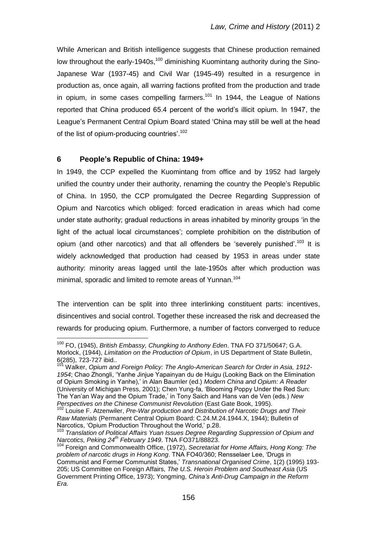While American and British intelligence suggests that Chinese production remained low throughout the early-1940s,<sup>100</sup> diminishing Kuomintang authority during the Sino-Japanese War (1937-45) and Civil War (1945-49) resulted in a resurgence in production as, once again, all warring factions profited from the production and trade in opium, in some cases compelling farmers.<sup>101</sup> In 1944, the League of Nations reported that China produced 65.4 percent of the world"s illicit opium. In 1947, the League"s Permanent Central Opium Board stated "China may still be well at the head of the list of opium-producing countries'.<sup>102</sup>

### **6 People's Republic of China: 1949+**

 $\overline{a}$ 

In 1949, the CCP expelled the Kuomintang from office and by 1952 had largely unified the country under their authority, renaming the country the People"s Republic of China. In 1950, the CCP promulgated the Decree Regarding Suppression of Opium and Narcotics which obliged: forced eradication in areas which had come under state authority; gradual reductions in areas inhabited by minority groups "in the light of the actual local circumstances"; complete prohibition on the distribution of opium (and other narcotics) and that all offenders be 'severely punished'.<sup>103</sup> It is widely acknowledged that production had ceased by 1953 in areas under state authority: minority areas lagged until the late-1950s after which production was minimal, sporadic and limited to remote areas of Yunnan.<sup>104</sup>

The intervention can be split into three interlinking constituent parts: incentives, disincentives and social control. Together these increased the risk and decreased the rewards for producing opium. Furthermore, a number of factors converged to reduce

<sup>100</sup> FO, (1945), *British Embassy, Chungking to Anthony Eden*. TNA FO 371/50647; G.A. Morlock, (1944), *Limitation on the Production of Opium*, in US Department of State Bulletin, 6(285), 723-727 ibid..

<sup>&</sup>lt;sup>101</sup> Walker, *Opium and Foreign Policy: The Anglo-American Search for Order in Asia, 1912-1954*; Chao Zhongli, "Yanhe Jinjue Yapainyan du de Huigu (Looking Back on the Elimination of Opium Smoking in Yanhe)," in Alan Baumler (ed.) *Modern China and Opium: A Reader* (University of Michigan Press, 2001); Chen Yung-fa, "Blooming Poppy Under the Red Sun: The Yan"an Way and the Opium Trade," in Tony Saich and Hans van de Ven (eds.) *New Perspectives on the Chinese Communist Revolution* (East Gate Book, 1995).

<sup>&</sup>lt;sup>102</sup> Louise F. Atzenwiler, *Pre-War production and Distribution of Narcotic Drugs and Their Raw Materials* (Permanent Central Opium Board: C.24.M.24.1944.X, 1944); Bulletin of Narcotics, "Opium Production Throughout the World," p.28.

<sup>103</sup> *Translation of Political Affairs Yuan Issues Degree Regarding Suppression of Opium and Narcotics, Peking 24th February 1949*. TNA FO371/88823.

<sup>104</sup> Foreign and Commonwealth Office, (1972), *Secretariat for Home Affairs, Hong Kong: The problem of narcotic drugs in Hong Kong*. TNA FO40/360; Rensselaer Lee, "Drugs in Communist and Former Communist States," *Transnational Organised Crime*, 1(2) (1995) 193- 205; US Committee on Foreign Affairs, *The U.S. Heroin Problem and Southeast Asia* (US Government Printing Office, 1973); Yongming, *China's Anti-Drug Campaign in the Reform Era*.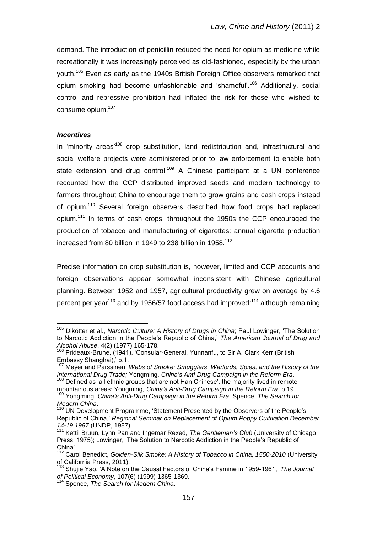demand. The introduction of penicillin reduced the need for opium as medicine while recreationally it was increasingly perceived as old-fashioned, especially by the urban youth.<sup>105</sup> Even as early as the 1940s British Foreign Office observers remarked that opium smoking had become unfashionable and 'shameful'.<sup>106</sup> Additionally, social control and repressive prohibition had inflated the risk for those who wished to consume opium.<sup>107</sup>

#### *Incentives*

In 'minority areas<sup>108</sup> crop substitution, land redistribution and, infrastructural and social welfare projects were administered prior to law enforcement to enable both state extension and drug control.<sup>109</sup> A Chinese participant at a UN conference recounted how the CCP distributed improved seeds and modern technology to farmers throughout China to encourage them to grow grains and cash crops instead of opium.<sup>110</sup> Several foreign observers described how food crops had replaced opium.<sup>111</sup> In terms of cash crops, throughout the 1950s the CCP encouraged the production of tobacco and manufacturing of cigarettes: annual cigarette production increased from 80 billion in 1949 to 238 billion in 1958.<sup>112</sup>

Precise information on crop substitution is, however, limited and CCP accounts and foreign observations appear somewhat inconsistent with Chinese agricultural planning. Between 1952 and 1957, agricultural productivity grew on average by 4.6 percent per year<sup>113</sup> and by 1956/57 food access had improved:<sup>114</sup> although remaining

<sup>105</sup> Dikötter et al., *Narcotic Culture: A History of Drugs in China*; Paul Lowinger, "The Solution to Narcotic Addiction in the People"s Republic of China," *The American Journal of Drug and Alcohol Abuse*, 4(2) (1977) 165-178.

<sup>&</sup>lt;sup>106</sup> Prideaux-Brune, (1941), 'Consular-General, Yunnanfu, to Sir A. Clark Kerr (British Embassy Shanghai)," p.1.

<sup>107</sup> Meyer and Parssinen, *Webs of Smoke: Smugglers, Warlords, Spies, and the History of the International Drug Trade;* Yongming, *China's Anti-Drug Campaign in the Reform Era*. <sup>108</sup> Defined as 'all ethnic groups that are not Han Chinese', the majority lived in remote

mountainous areas: Yongming, *China's Anti-Drug Campaign in the Reform Era*, p.19. <sup>109</sup> Yongming, *China's Anti-Drug Campaign in the Reform Era*; Spence, *The Search for* 

*Modern China*.

<sup>&</sup>lt;sup>110</sup> UN Development Programme, 'Statement Presented by the Observers of the People's Republic of China," *Regional Seminar on Replacement of Opium Poppy Cultivation December 14-19 1987* (UNDP, 1987).

<sup>&</sup>lt;sup>111</sup> Kettil Bruun, Lynn Pan and Ingemar Rexed, The Gentleman's Club (University of Chicago Press, 1975); Lowinger, "The Solution to Narcotic Addiction in the People"s Republic of China".

<sup>112</sup> Carol Benedict, *Golden-Silk Smoke: A History of Tobacco in China, 1550-2010* (University of California Press, 2011).

<sup>&</sup>lt;sup>113</sup> Shujie Yao, 'A Note on the Causal Factors of China's Famine in 1959-1961,' The Journal *of Political Economy*, 107(6) (1999) 1365-1369.

<sup>114</sup> Spence, *The Search for Modern China*.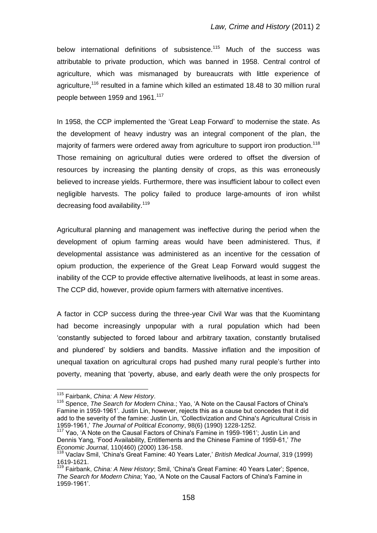below international definitions of subsistence.<sup>115</sup> Much of the success was attributable to private production, which was banned in 1958. Central control of agriculture, which was mismanaged by bureaucrats with little experience of agriculture,<sup>116</sup> resulted in a famine which killed an estimated 18.48 to 30 million rural people between 1959 and 1961.<sup>117</sup>

In 1958, the CCP implemented the 'Great Leap Forward' to modernise the state. As the development of heavy industry was an integral component of the plan, the majority of farmers were ordered away from agriculture to support iron production.<sup>118</sup> Those remaining on agricultural duties were ordered to offset the diversion of resources by increasing the planting density of crops, as this was erroneously believed to increase yields. Furthermore, there was insufficient labour to collect even negligible harvests. The policy failed to produce large-amounts of iron whilst decreasing food availability.<sup>119</sup>

Agricultural planning and management was ineffective during the period when the development of opium farming areas would have been administered. Thus, if developmental assistance was administered as an incentive for the cessation of opium production, the experience of the Great Leap Forward would suggest the inability of the CCP to provide effective alternative livelihoods, at least in some areas. The CCP did, however, provide opium farmers with alternative incentives.

A factor in CCP success during the three-year Civil War was that the Kuomintang had become increasingly unpopular with a rural population which had been "constantly subjected to forced labour and arbitrary taxation, constantly brutalised and plundered" by soldiers and bandits. Massive inflation and the imposition of unequal taxation on agricultural crops had pushed many rural people"s further into poverty, meaning that "poverty, abuse, and early death were the only prospects for

<sup>115</sup> Fairbank, *China: A New History*.

<sup>&</sup>lt;sup>116</sup> Spence, *The Search for Modern China.*; Yao, 'A Note on the Causal Factors of China's Famine in 1959-1961". Justin Lin, however, rejects this as a cause but concedes that it did add to the severity of the famine: Justin Lin, "Collectivization and China's Agricultural Crisis in 1959-1961," *The Journal of Political Economy*, 98(6) (1990) 1228-1252.

<sup>&</sup>lt;sup>117</sup> Yao, 'A Note on the Causal Factors of China's Famine in 1959-1961'; Justin Lin and Dennis Yang, "Food Availability, Entitlements and the Chinese Famine of 1959-61," *The Economic Journal*, 110(460) (2000) 136-158.

<sup>118</sup> Vaclav Smil, "China's Great Famine: 40 Years Later," *British Medical Journal*, 319 (1999) 1619-1621.

<sup>&</sup>lt;sup>119</sup> Fairbank, *China: A New History*; Smil, 'China's Great Famine: 40 Years Later'; Spence, *The Search for Modern China*; Yao, "A Note on the Causal Factors of China's Famine in 1959-1961".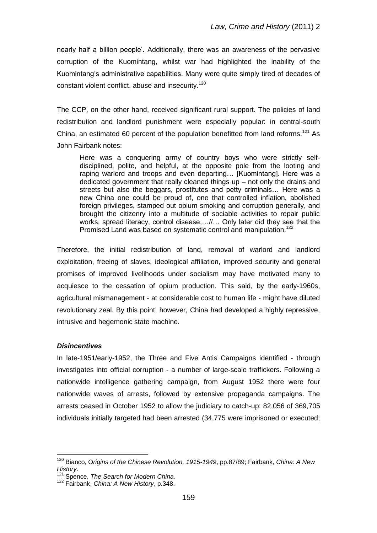nearly half a billion people". Additionally, there was an awareness of the pervasive corruption of the Kuomintang, whilst war had highlighted the inability of the Kuomintang"s administrative capabilities. Many were quite simply tired of decades of constant violent conflict, abuse and insecurity.<sup>120</sup>

The CCP, on the other hand, received significant rural support. The policies of land redistribution and landlord punishment were especially popular: in central-south China, an estimated 60 percent of the population benefitted from land reforms.<sup>121</sup> As John Fairbank notes:

Here was a conquering army of country boys who were strictly selfdisciplined, polite, and helpful, at the opposite pole from the looting and raping warlord and troops and even departing… [Kuomintang]. Here was a dedicated government that really cleaned things up – not only the drains and streets but also the beggars, prostitutes and petty criminals… Here was a new China one could be proud of, one that controlled inflation, abolished foreign privileges, stamped out opium smoking and corruption generally, and brought the citizenry into a multitude of sociable activities to repair public works, spread literacy, control disease,…//… Only later did they see that the Promised Land was based on systematic control and manipulation.<sup>122</sup>

Therefore, the initial redistribution of land, removal of warlord and landlord exploitation, freeing of slaves, ideological affiliation, improved security and general promises of improved livelihoods under socialism may have motivated many to acquiesce to the cessation of opium production. This said, by the early-1960s, agricultural mismanagement - at considerable cost to human life - might have diluted revolutionary zeal. By this point, however, China had developed a highly repressive, intrusive and hegemonic state machine.

#### *Disincentives*

 $\overline{a}$ 

In late-1951/early-1952, the Three and Five Antis Campaigns identified - through investigates into official corruption - a number of large-scale traffickers. Following a nationwide intelligence gathering campaign, from August 1952 there were four nationwide waves of arrests, followed by extensive propaganda campaigns. The arrests ceased in October 1952 to allow the judiciary to catch-up: 82,056 of 369,705 individuals initially targeted had been arrested (34,775 were imprisoned or executed;

<sup>120</sup> Bianco, O*rigins of the Chinese Revolution, 1915-1949*, pp.87/89; Fairbank, *China: A New History*.

<sup>121</sup> Spence, *The Search for Modern China*.

<sup>122</sup> Fairbank, *China: A New History*, p.348.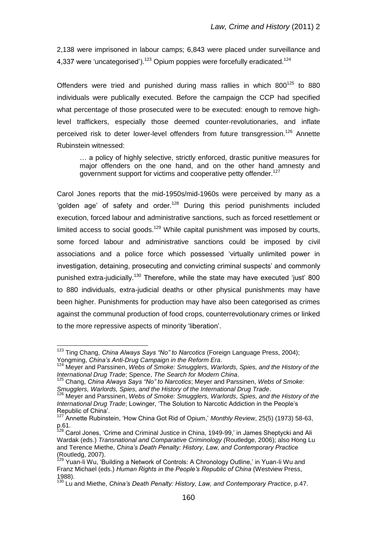2,138 were imprisoned in labour camps; 6,843 were placed under surveillance and 4,337 were 'uncategorised').<sup>123</sup> Opium poppies were forcefully eradicated.<sup>124</sup>

Offenders were tried and punished during mass rallies in which  $800^{125}$  to  $880$ individuals were publically executed. Before the campaign the CCP had specified what percentage of those prosecuted were to be executed: enough to remove highlevel traffickers, especially those deemed counter-revolutionaries, and inflate perceived risk to deter lower-level offenders from future transgression.<sup>126</sup> Annette Rubinstein witnessed:

… a policy of highly selective, strictly enforced, drastic punitive measures for major offenders on the one hand, and on the other hand amnesty and government support for victims and cooperative petty offender.<sup>127</sup>

Carol Jones reports that the mid-1950s/mid-1960s were perceived by many as a 'golden age' of safety and order.<sup>128</sup> During this period punishments included execution, forced labour and administrative sanctions, such as forced resettlement or limited access to social goods.<sup>129</sup> While capital punishment was imposed by courts, some forced labour and administrative sanctions could be imposed by civil associations and a police force which possessed "virtually unlimited power in investigation, detaining, prosecuting and convicting criminal suspects' and commonly punished extra-judicially.<sup>130</sup> Therefore, while the state may have executed 'just' 800 to 880 individuals, extra-judicial deaths or other physical punishments may have been higher. Punishments for production may have also been categorised as crimes against the communal production of food crops, counterrevolutionary crimes or linked to the more repressive aspects of minority "liberation".

<sup>&</sup>lt;sup>123</sup> Ting Chang, *China Always Says "No" to Narcotics* (Foreign Language Press, 2004); Yongming, *China's Anti-Drug Campaign in the Reform Era*.

<sup>124</sup> Meyer and Parssinen, *Webs of Smoke: Smugglers, Warlords, Spies, and the History of the International Drug Trade*; Spence, *The Search for Modern China*.

<sup>125</sup> Chang, *China Always Says "No" to Narcotics*; Meyer and Parssinen, *Webs of Smoke: Smugglers, Warlords, Spies, and the History of the International Drug Trade*.

<sup>126</sup> Meyer and Parssinen, *Webs of Smoke: Smugglers, Warlords, Spies, and the History of the International Drug Trade*; Lowinger, "The Solution to Narcotic Addiction in the People"s Republic of China".

<sup>127</sup> Annette Rubinstein, "How China Got Rid of Opium," *Monthly Review*, 25(5) (1973) 58-63, p.61.

<sup>&</sup>lt;sup>128</sup> Carol Jones, 'Crime and Criminal Justice in China, 1949-99,' in James Sheptycki and Ali Wardak (eds.) *Transnational and Comparative Criminology (*Routledge, 2006); also Hong Lu and Terence Miethe, *China's Death Penalty: History, Law, and Contemporary Practice*  (Routledg, 2007).

<sup>&</sup>lt;sup>129</sup> Yuan-li Wu, 'Building a Network of Controls: A Chronology Outline,' in Yuan-li Wu and Franz Michael (eds.) *Human Rights in the People's Republic of China* (Westview Press, 1988).

<sup>130</sup> Lu and Miethe, *China's Death Penalty: History, Law, and Contemporary Practice*, p.47.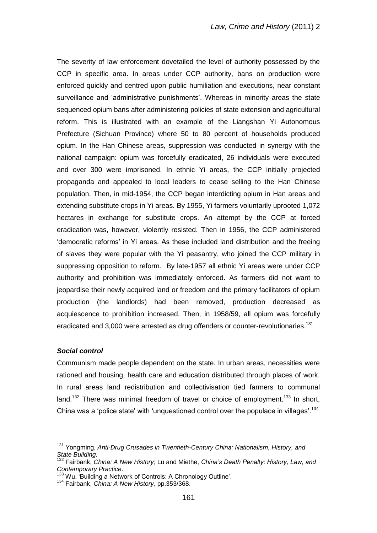The severity of law enforcement dovetailed the level of authority possessed by the CCP in specific area. In areas under CCP authority, bans on production were enforced quickly and centred upon public humiliation and executions, near constant surveillance and 'administrative punishments'. Whereas in minority areas the state sequenced opium bans after administering policies of state extension and agricultural reform. This is illustrated with an example of the Liangshan Yi Autonomous Prefecture (Sichuan Province) where 50 to 80 percent of households produced opium. In the Han Chinese areas, suppression was conducted in synergy with the national campaign: opium was forcefully eradicated, 26 individuals were executed and over 300 were imprisoned. In ethnic Yi areas, the CCP initially projected propaganda and appealed to local leaders to cease selling to the Han Chinese population. Then, in mid-1954, the CCP began interdicting opium in Han areas and extending substitute crops in Yi areas. By 1955, Yi farmers voluntarily uprooted 1,072 hectares in exchange for substitute crops. An attempt by the CCP at forced eradication was, however, violently resisted. Then in 1956, the CCP administered 'democratic reforms' in Yi areas. As these included land distribution and the freeing of slaves they were popular with the Yi peasantry, who joined the CCP military in suppressing opposition to reform. By late-1957 all ethnic Yi areas were under CCP authority and prohibition was immediately enforced. As farmers did not want to jeopardise their newly acquired land or freedom and the primary facilitators of opium production (the landlords) had been removed, production decreased as acquiescence to prohibition increased. Then, in 1958/59, all opium was forcefully eradicated and 3,000 were arrested as drug offenders or counter-revolutionaries.<sup>131</sup>

#### *Social control*

 $\overline{a}$ 

Communism made people dependent on the state. In urban areas, necessities were rationed and housing, health care and education distributed through places of work. In rural areas land redistribution and collectivisation tied farmers to communal land.<sup>132</sup> There was minimal freedom of travel or choice of employment.<sup>133</sup> In short, China was a 'police state' with 'unquestioned control over the populace in villages'.<sup>134</sup>

<sup>131</sup> Yongming, *Anti-Drug Crusades in Twentieth-Century China: Nationalism, History, and State Building.*

<sup>132</sup> Fairbank, *China: A New History*; Lu and Miethe, *China's Death Penalty: History, Law, and Contemporary Practice*.

<sup>&</sup>lt;sup>133</sup> Wu, 'Building a Network of Controls: A Chronology Outline'.

<sup>134</sup> Fairbank, *China: A New History*, pp.353/368.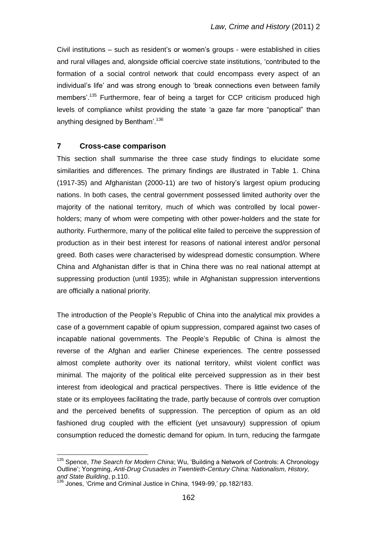Civil institutions – such as resident"s or women"s groups - were established in cities and rural villages and, alongside official coercive state institutions, "contributed to the formation of a social control network that could encompass every aspect of an individual"s life" and was strong enough to "break connections even between family members'.<sup>135</sup> Furthermore, fear of being a target for CCP criticism produced high levels of compliance whilst providing the state "a gaze far more "panoptical" than anything designed by Bentham'.<sup>136</sup>

### **7 Cross-case comparison**

This section shall summarise the three case study findings to elucidate some similarities and differences. The primary findings are illustrated in Table 1. China (1917-35) and Afghanistan (2000-11) are two of history"s largest opium producing nations. In both cases, the central government possessed limited authority over the majority of the national territory, much of which was controlled by local powerholders; many of whom were competing with other power-holders and the state for authority. Furthermore, many of the political elite failed to perceive the suppression of production as in their best interest for reasons of national interest and/or personal greed. Both cases were characterised by widespread domestic consumption. Where China and Afghanistan differ is that in China there was no real national attempt at suppressing production (until 1935); while in Afghanistan suppression interventions are officially a national priority.

The introduction of the People"s Republic of China into the analytical mix provides a case of a government capable of opium suppression, compared against two cases of incapable national governments. The People"s Republic of China is almost the reverse of the Afghan and earlier Chinese experiences. The centre possessed almost complete authority over its national territory, whilst violent conflict was minimal. The majority of the political elite perceived suppression as in their best interest from ideological and practical perspectives. There is little evidence of the state or its employees facilitating the trade, partly because of controls over corruption and the perceived benefits of suppression. The perception of opium as an old fashioned drug coupled with the efficient (yet unsavoury) suppression of opium consumption reduced the domestic demand for opium. In turn, reducing the farmgate

<sup>135</sup> Spence, *The Search for Modern China*; Wu, "Building a Network of Controls: A Chronology Outline"; Yongming, *Anti-Drug Crusades in Twentieth-Century China: Nationalism, History, and State Building*, p.110.

<sup>136</sup> Jones, 'Crime and Criminal Justice in China, 1949-99,' pp.182/183.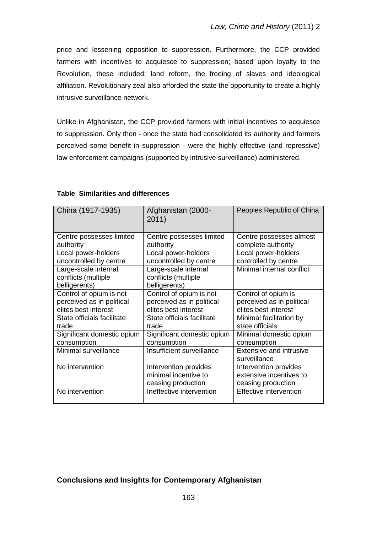price and lessening opposition to suppression. Furthermore, the CCP provided farmers with incentives to acquiesce to suppression; based upon loyalty to the Revolution, these included: land reform, the freeing of slaves and ideological affiliation. Revolutionary zeal also afforded the state the opportunity to create a highly intrusive surveillance network.

Unlike in Afghanistan, the CCP provided farmers with initial incentives to acquiesce to suppression. Only then - once the state had consolidated its authority and farmers perceived some benefit in suppression - were the highly effective (and repressive) law enforcement campaigns (supported by intrusive surveillance) administered.

| China (1917-1935)                                            | Afghanistan (2000-<br>2011)                                         | Peoples Republic of China                                              |
|--------------------------------------------------------------|---------------------------------------------------------------------|------------------------------------------------------------------------|
| Centre possesses limited                                     | Centre possesses limited                                            | Centre possesses almost                                                |
| authority                                                    | authority                                                           | complete authority                                                     |
| Local power-holders                                          | Local power-holders                                                 | Local power-holders                                                    |
| uncontrolled by centre                                       | uncontrolled by centre                                              | controlled by centre                                                   |
| Large-scale internal<br>conflicts (multiple<br>belligerents) | Large-scale internal<br>conflicts (multiple<br>belligerents)        | Minimal internal conflict                                              |
| Control of opium is not                                      | Control of opium is not                                             | Control of opium is                                                    |
| perceived as in political                                    | perceived as in political                                           | perceived as in political                                              |
| elites best interest                                         | elites best interest                                                | elites best interest                                                   |
| State officials facilitate                                   | State officials facilitate                                          | Minimal facilitation by                                                |
| trade                                                        | trade                                                               | state officials                                                        |
| Significant domestic opium                                   | Significant domestic opium                                          | Minimal domestic opium                                                 |
| consumption                                                  | consumption                                                         | consumption                                                            |
| Minimal surveillance                                         | Insufficient surveillance                                           | <b>Extensive and intrusive</b><br>surveillance                         |
| No intervention                                              | Intervention provides<br>minimal incentive to<br>ceasing production | Intervention provides<br>extensive incentives to<br>ceasing production |
| No intervention                                              | Ineffective intervention                                            | <b>Effective intervention</b>                                          |

### **Table Similarities and differences**

# **Conclusions and Insights for Contemporary Afghanistan**